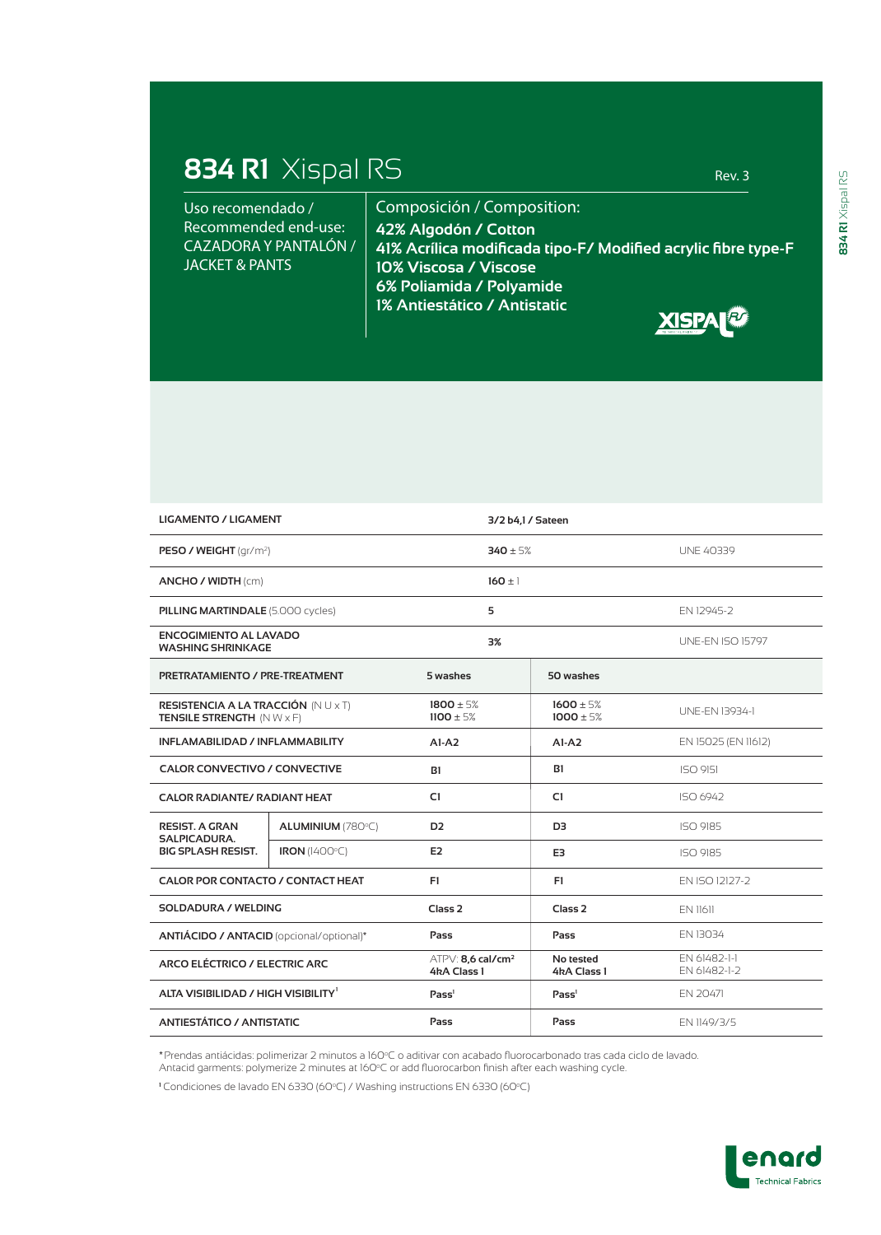## **834 R1** Xispal RS Rev. 3

Composición / Composition: **42% Algodón / Cotton 41% Acrílica modificada tipo-F/ Modified acrylic fibre type-F 10% Viscosa / Viscose 6% Poliamida / Polyamide 1% Antiestático / Antistatic** Uso recomendado / Recommended end-use: CAZADORA Y PANTALÓN / JACKET & PANTS



| <b>LIGAMENTO / LIGAMENT</b>                                        |                      |                                                | 3/2 b4.1 / Sateen              |                              |
|--------------------------------------------------------------------|----------------------|------------------------------------------------|--------------------------------|------------------------------|
| PESO / WEIGHT (gr/m <sup>2</sup> )                                 |                      |                                                | $340 + 5%$                     | <b>UNE 40339</b>             |
| ANCHO / WIDTH (cm)                                                 |                      | $160 \pm 1$                                    |                                |                              |
| <b>PILLING MARTINDALE (5.000 cycles)</b>                           |                      | 5                                              |                                | EN 12945-2                   |
| <b>ENCOGIMIENTO AL LAVADO</b><br><b>WASHING SHRINKAGE</b>          |                      | 3%                                             |                                | <b>UNE-EN ISO 15797</b>      |
| PRETRATAMIENTO / PRE-TREATMENT                                     |                      | 5 washes                                       | 50 washes                      |                              |
| RESISTENCIA A LA TRACCIÓN (NU x T)<br>TENSILE STRENGTH (NW x F)    |                      | $1800 \pm 5%$<br>$1100 \pm 5%$                 | $1600 \pm 5%$<br>$1000 \pm 5%$ | UNE-EN 13934-1               |
| INFLAMABILIDAD / INFLAMMABILITY                                    |                      | $AI-A2$                                        | $AI-A2$                        | EN 15025 (EN 11612)          |
| <b>CALOR CONVECTIVO / CONVECTIVE</b>                               |                      | B1                                             | <b>B1</b>                      | <b>ISO 9151</b>              |
| <b>CALOR RADIANTE/ RADIANT HEAT</b>                                |                      | C1                                             | C1                             | ISO 6942                     |
| <b>RESIST. A GRAN</b><br>SALPICADURA.<br><b>BIG SPLASH RESIST.</b> | ALUMINIUM (780°C)    | D <sub>2</sub>                                 | D <sub>3</sub>                 | ISO 9185                     |
|                                                                    | <b>IRON</b> (1400°C) | E <sub>2</sub>                                 | E3                             | ISO 9185                     |
| <b>CALOR POR CONTACTO / CONTACT HEAT</b>                           |                      | F1                                             | F1                             | EN ISO 12127-2               |
| <b>SOLDADURA / WELDING</b>                                         |                      | Class <sub>2</sub>                             | Class <sub>2</sub>             | FN 11611                     |
| ANTIÁCIDO / ANTACID (opcional/optional)*                           |                      | Pass                                           | Pass                           | EN 13034                     |
| ARCO ELÉCTRICO / ELECTRIC ARC                                      |                      | $ATPV: 8.6$ cal/cm <sup>2</sup><br>4kA Class 1 | No tested<br>4kA Class 1       | EN 61482-1-1<br>EN 61482-1-2 |
| ALTA VISIBILIDAD / HIGH VISIBILITY <sup>1</sup>                    |                      | Pass                                           | Pass <sup>1</sup>              | EN 20471                     |
| <b>ANTIESTÁTICO / ANTISTATIC</b>                                   |                      | Pass                                           | Pass                           | EN 1149/3/5                  |

**\***Prendas antiácidas: polimerizar 2 minutos a 160oC o aditivar con acabado fluorocarbonado tras cada ciclo de lavado. Antacid garments: polymerize 2 minutes at 160oC or add fluorocarbon finish after each washing cycle.

<sup>1</sup> Condiciones de lavado EN 6330 (60°C) / Washing instructions EN 6330 (60°C)